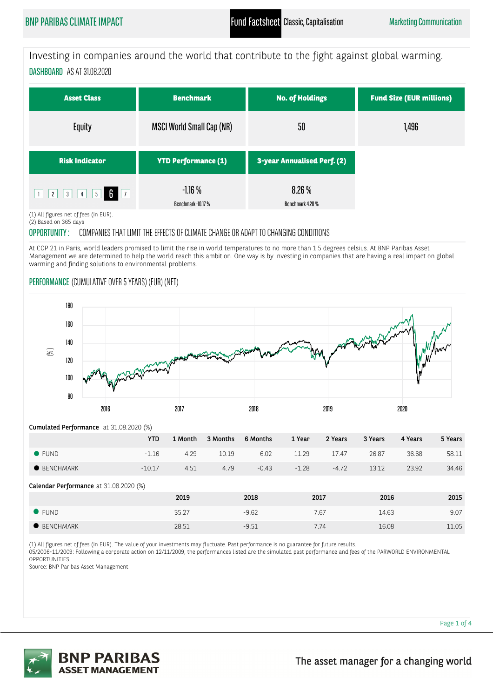Investing in companies around the world that contribute to the fight against global warming. DASHBOARD AS AT 31.08.2020

| <b>Asset Class</b>            | <b>Benchmark</b>                 | <b>No. of Holdings</b>      | <b>Fund Size (EUR millions)</b> |  |
|-------------------------------|----------------------------------|-----------------------------|---------------------------------|--|
| Equity                        | <b>MSCI World Small Cap (NR)</b> | 50                          | 1,496                           |  |
| <b>Risk Indicator</b>         | <b>YTD Performance (1)</b>       | 3-year Annualised Perf. (2) |                                 |  |
| $2$ 3 4 5 6 7<br>$\mathbf{H}$ | $-1.16%$<br>Benchmark -10.17 %   | 8.26%<br>Benchmark 4.20 %   |                                 |  |

(1) All figures net of fees (in EUR).

(2) Based on 365 days

OPPORTUNITY : COMPANIES THAT LIMIT THE EFFECTS OF CLIMATE CHANGE OR ADAPT TO CHANGING CONDITIONS

At COP 21 in Paris, world leaders promised to limit the rise in world temperatures to no more than 1.5 degrees celsius. At BNP Paribas Asset Management we are determined to help the world reach this ambition. One way is by investing in companies that are having a real impact on global warming and finding solutions to environmental problems.

# PERFORMANCE (CUMULATIVE OVER 5 YEARS) (EUR) (NET)



YTD 1 Month 3 Months 6 Months 1 Year 2 Years 3 Years 4 Years 5 Years FUND -1.16 4.29 10.19 6.02 11.29 17.47 26.87 36.68 58.11 BENCHMARK -10.17 4.51 4.79 -0.43 -1.28 -4.72 13.12 23.92 34.46 Cumulated Performance at 31.08.2020 (%) Calendar Performance at 31.08.2020 (%) 2019 2018 2017 2016 2015 FUND 35.27 -9.62 7.67 14.63 9.07

BENCHMARK 28.51 -9.51 7.74 16.08 11.05

(1) All figures net of fees (in EUR). The value of your investments may fluctuate. Past performance is no guarantee for future results.

05/2006-11/2009: Following a corporate action on 12/11/2009, the performances listed are the simulated past performance and fees of the PARWORLD ENVIRONMENTAL OPPORTUNITIES.

Source: BNP Paribas Asset Management



**BNP PARIBAS ASSET MANAGEMENT** 

Page 1 of 4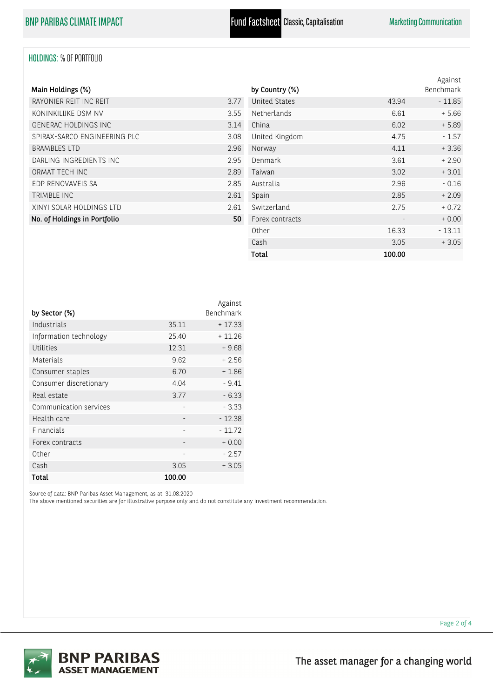# HOLDINGS: % OF PORTFOLIO

| Main Holdings (%)            |      |
|------------------------------|------|
| RAYONIER REIT INC REIT       | 3.77 |
| KONINKII IIKE DSM NV         | 3.55 |
| GENERAC HOLDINGS INC         | 314  |
| SPIRAX-SARCO ENGINEERING PLC | 3.08 |
| <b>BRAMBLES LTD</b>          | 2.96 |
| DARLING INGREDIENTS INC      | 2.95 |
| ORMAT TECH INC               | 289  |
| EDP RENOVAVEIS SA            | 285  |
| TRIMBLE INC.                 | 2.61 |
| XINYI SOLAR HOLDINGS LTD     | 261  |
| No. of Holdings in Portfolio | 50   |

| by Country (%)       |        | Against<br>Benchmark |
|----------------------|--------|----------------------|
| <b>United States</b> | 43.94  | $-11.85$             |
| Netherlands          | 6.61   | $+5.66$              |
| China                | 6.02   | $+5.89$              |
| United Kingdom       | 4.75   | $-1.57$              |
| Norway               | 4.11   | $+3.36$              |
| Denmark              | 3.61   | $+2.90$              |
| Taiwan               | 3.02   | $+3.01$              |
| Australia            | 2.96   | $-0.16$              |
| Spain                | 2.85   | $+2.09$              |
| Switzerland          | 2.75   | $+0.72$              |
| Forex contracts      |        | $+0.00$              |
| Other                | 16.33  | $-13.11$             |
| Cash                 | 3.05   | $+3.05$              |
| Total                | 100.00 |                      |

|                        |        | Against   |
|------------------------|--------|-----------|
| by Sector (%)          |        | Benchmark |
| Industrials            | 35.11  | $+17.33$  |
| Information technology | 25.40  | $+11.26$  |
| Utilities              | 12.31  | $+9.68$   |
| Materials              | 9.62   | $+2.56$   |
| Consumer staples       | 6.70   | $+1.86$   |
| Consumer discretionary | 4.04   | $-9.41$   |
| Real estate            | 3.77   | $-6.33$   |
| Communication services |        | $-3.33$   |
| Health care            | ٠      | $-12.38$  |
| Financials             |        | $-11.72$  |
| Forex contracts        |        | $+0.00$   |
| Other                  |        | $-2.57$   |
| Cash                   | 3.05   | $+3.05$   |
| Total                  | 100.00 |           |

Source of data: BNP Paribas Asset Management, as at 31.08.2020

The above mentioned securities are for illustrative purpose only and do not constitute any investment recommendation.



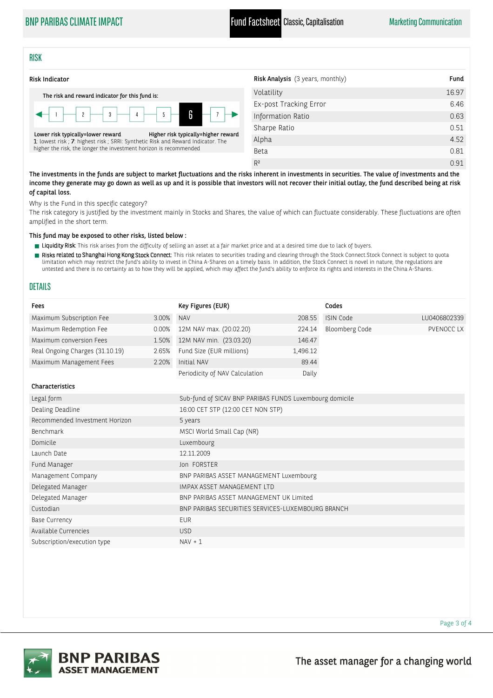# BNP PARIBAS CLIMATE IMPACT **Fund Factsheet** Classic, Capitalisation Marketing Communication

## RISK



| 16.97 |
|-------|
| 6.46  |
| 0.63  |
| 0.51  |
| 4.52  |
| 0.81  |
| 0.91  |
|       |

The investments in the funds are subject to market fluctuations and the risks inherent in investments in securities. The value of investments and the income they generate may go down as well as up and it is possible that investors will not recover their initial outlay, the fund described being at risk of capital loss.

Why is the Fund in this specific category?

The risk category is justified by the investment mainly in Stocks and Shares, the value of which can fluctuate considerably. These fluctuations are often amplified in the short term.

This fund may be exposed to other risks, listed below :

- Figuidity Risk: This risk arises from the difficulty of selling an asset at a fair market price and at a desired time due to lack of buyers.
- Risks related to Shanghai Hong Kong Stock Connect: This risk relates to securities trading and clearing through the Stock Connect.Stock Connect is subject to quota limitation which may restrict the fund's ability to invest in China A-Shares on a timely basis. In addition, the Stock Connect is novel in nature, the regulations are untested and there is no certainty as to how they will be applied, which may affect the fund's ability to enforce its rights and interests in the China A-Shares.

## DETAILS

| Fees                                                         |       | Key Figures (EUR)                                       |          | Codes                 |              |
|--------------------------------------------------------------|-------|---------------------------------------------------------|----------|-----------------------|--------------|
| Maximum Subscription Fee                                     | 3.00% | <b>NAV</b>                                              | 208.55   | <b>ISIN Code</b>      | LU0406802339 |
| Maximum Redemption Fee                                       | 0.00% | 12M NAV max. (20.02.20)                                 | 224.14   | <b>Bloomberg Code</b> | PVENOCC LX   |
| Maximum conversion Fees                                      | 1.50% | 12M NAV min. (23.03.20)                                 | 146.47   |                       |              |
| Real Ongoing Charges (31.10.19)                              | 2.65% | Fund Size (EUR millions)                                | 1,496.12 |                       |              |
| Maximum Management Fees                                      | 2.20% | Initial NAV                                             | 89.44    |                       |              |
|                                                              |       | Periodicity of NAV Calculation                          | Daily    |                       |              |
| <b>Characteristics</b>                                       |       |                                                         |          |                       |              |
| Legal form                                                   |       | Sub-fund of SICAV BNP PARIBAS FUNDS Luxembourg domicile |          |                       |              |
| Dealing Deadline                                             |       | 16:00 CET STP (12:00 CET NON STP)                       |          |                       |              |
| Recommended Investment Horizon                               |       | 5 years                                                 |          |                       |              |
| Benchmark                                                    |       | MSCI World Small Cap (NR)                               |          |                       |              |
| Domicile                                                     |       | Luxembourg                                              |          |                       |              |
| Launch Date                                                  |       | 12.11.2009                                              |          |                       |              |
| Fund Manager                                                 |       | Jon FORSTER                                             |          |                       |              |
| Management Company                                           |       | BNP PARIBAS ASSET MANAGEMENT Luxembourg                 |          |                       |              |
| Delegated Manager                                            |       | IMPAX ASSET MANAGEMENT LTD                              |          |                       |              |
| Delegated Manager<br>BNP PARIBAS ASSET MANAGEMENT UK Limited |       |                                                         |          |                       |              |
| Custodian                                                    |       | BNP PARIBAS SECURITIES SERVICES-LUXEMBOURG BRANCH       |          |                       |              |
| <b>Base Currency</b>                                         |       | <b>EUR</b>                                              |          |                       |              |
| Available Currencies                                         |       | <b>USD</b>                                              |          |                       |              |
| Subscription/execution type                                  |       | $NAV + 1$                                               |          |                       |              |





Page 3 of 4